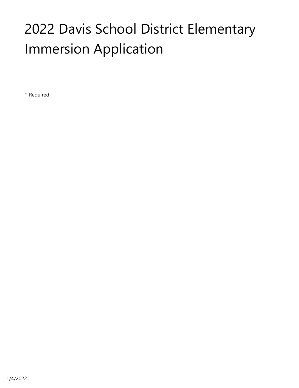# 2022 Davis School District Elementary Immersion Application

\* Required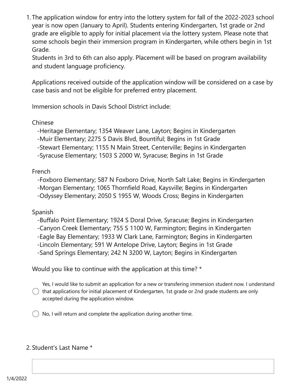1. The application window for entry into the lottery system for fall of the 2022-2023 school year is now open (January to April). Students entering Kindergarten, 1st grade or 2nd grade are eligible to apply for initial placement via the lottery system. Please note that some schools begin their immersion program in Kindergarten, while others begin in 1st Grade.

Students in 3rd to 6th can also apply. Placement will be based on program availability and student language proficiency.

Applications received outside of the application window will be considered on a case by case basis and not be eligible for preferred entry placement.

Immersion schools in Davis School District include:

Chinese

-Heritage Elementary; 1354 Weaver Lane, Layton; Begins in Kindergarten

-Muir Elementary; 2275 S Davis Blvd, Bountiful; Begins in 1st Grade

-Stewart Elementary; 1155 N Main Street, Centerville; Begins in Kindergarten

-Syracuse Elementary; 1503 S 2000 W, Syracuse; Begins in 1st Grade

French

 -Foxboro Elementary; 587 N Foxboro Drive, North Salt Lake; Begins in Kindergarten -Morgan Elementary; 1065 Thornfield Road, Kaysville; Begins in Kindergarten -Odyssey Elementary; 2050 S 1955 W, Woods Cross; Begins in Kindergarten

Spanish

 -Buffalo Point Elementary; 1924 S Doral Drive, Syracuse; Begins in Kindergarten -Canyon Creek Elementary; 755 S 1100 W, Farmington; Begins in Kindergarten -Eagle Bay Elementary; 1933 W Clark Lane, Farmington; Begins in Kindergarten -Lincoln Elementary; 591 W Antelope Drive, Layton; Begins in 1st Grade -Sand Springs Elementary; 242 N 3200 W, Layton; Begins in Kindergarten

Would you like to continue with the application at this time? \*

Yes, I would like to submit an application for a new or transfering immersion student now. I understand  $\bigcirc$  that applications for initial placement of Kindergarten, 1st grade or 2nd grade students are only accepted during the application window.

No, I will return and complete the application during another time.

#### 2. Student's Last Name \*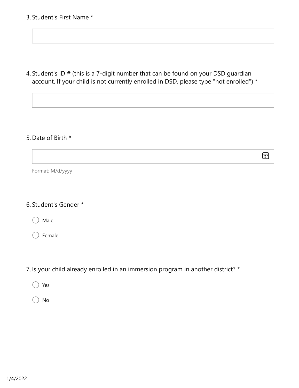3. Student's First Name \*

4. Student's ID # (this is a 7-digit number that can be found on your DSD guardian account. If your child is not currently enrolled in DSD, please type "not enrolled") \*

同

#### 5. Date of Birth \*

Format: M/d/yyyy

#### 6. Student's Gender \*

Male

Female

7. Is your child already enrolled in an immersion program in another district? \*

Yes

No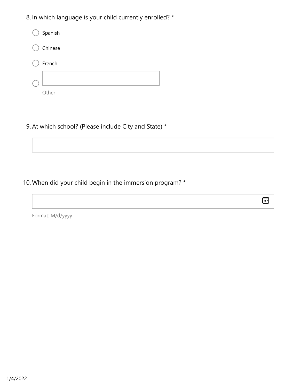8. In which language is your child currently enrolled? \*

| $\bigcirc$ Spanish |
|--------------------|
| ◯ Chinese          |
| French             |
|                    |
| ther               |

9. At which school? (Please include City and State) \*

10. When did your child begin in the immersion program? \*

 $\text{E}$ 

Format: M/d/yyyy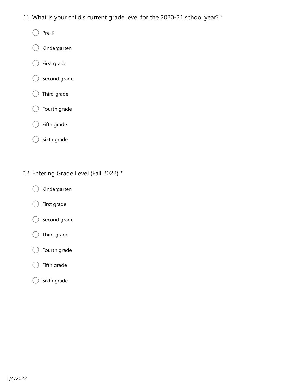- 11. What is your child's current grade level for the 2020-21 school year? \*
	- Pre-K €
	- Kindergarten
	- First grade  $\left($
	- Second grade €
	- $\big)$  Third grade €
	- Fourth grade  $( )$
	- Fifth grade €
	- Sixth grade  $\left(\begin{array}{c} \end{array}\right)$
- 12. Entering Grade Level (Fall 2022) \*
	- Kindergarten C
	- First grade €
	- Second grade €
	- $\bigcirc$  Third grade
	- Fourth grade (
	- Fifth grade
	- Sixth grade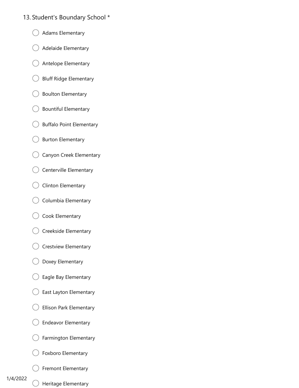#### 13. Student's Boundary School \*

- Adams Elementary
- Adelaide Elementary
- Antelope Elementary
- Bluff Ridge Elementary
- Boulton Elementary
- Bountiful Elementary  $($
- Buffalo Point Elementary €.
- Burton Elementary
- Canyon Creek Elementary
- Centerville Elementary
- Clinton Elementary
- Columbia Elementary
- Cook Elementary
- Creekside Elementary
- Crestview Elementary
- Doxey Elementary €
- Eagle Bay Elementary €
- East Layton Elementary
- Ellison Park Elementary
- Endeavor Elementary
- Farmington Elementary
- Foxboro Elementary
- Fremont Elementary

#### 1/4/2022

Heritage Elementary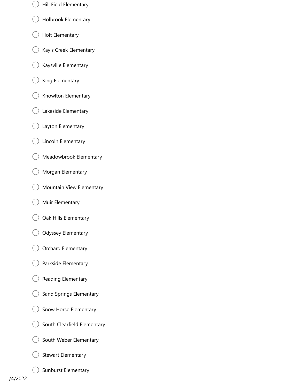- Hill Field Elementary
- Holbrook Elementary
- Holt Elementary €
- Kay's Creek Elementary  $\left($
- Kaysville Elementary  $($ )
- $\left(\begin{array}{c} \end{array}\right)$ King Elementary
- Knowlton Elementary  $( )$
- Lakeside Elementary €
- Layton Elementary
- Lincoln Elementary €
- Meadowbrook Elementary
- Morgan Elementary  $\left($
- Mountain View Elementary
- Muir Elementary  $($ )
- Oak Hills Elementary  $($
- $($ ) Odyssey Elementary
- Orchard Elementary
- Parkside Elementary
- Reading Elementary
- Sand Springs Elementary
- Snow Horse Elementary
- South Clearfield Elementary
- South Weber Elementary
- Stewart Elementary (
- Sunburst Elementary €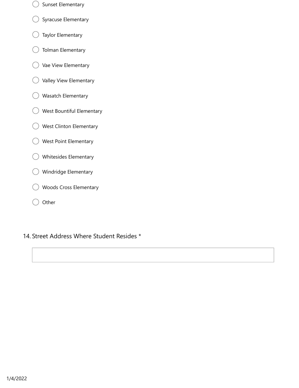- Sunset Elementary
- Syracuse Elementary
- Taylor Elementary €
- Tolman Elementary  $( )$
- Vae View Elementary  $( )$
- Valley View Elementary
- Wasatch Elementary
- West Bountiful Elementary
- West Clinton Elementary
- West Point Elementary
- Whitesides Elementary
- Windridge Elementary €  $\rightarrow$
- Woods Cross Elementary
- **Other**  $( )$

#### 14. Street Address Where Student Resides \*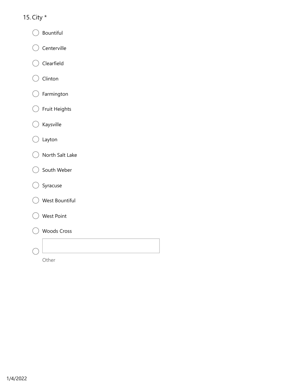#### 15. City \*

- Bountiful (
- Centerville  $\left($
- Clearfield
- Clinton  $\left($  $\rightarrow$
- Farmington  $\left($
- Fruit Heights €
- Kaysville  $\left($
- Layton €
- North Salt Lake
- South Weber (
- Syracuse
- West Bountiful
- West Point
- Woods Cross



Other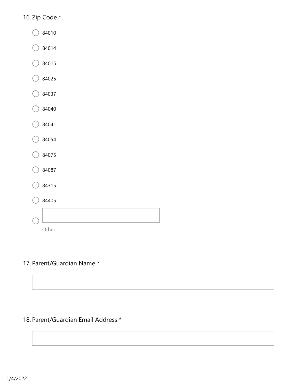#### 16. Zip Code \*

- 84010
- $\big)$  84014
- 84015
- $\bigcirc$  84025  $\left($
- $\big)$  84037
- $\bigcirc$  84040 €
- $\bigcirc$  84041 €
- $\bigcirc$  84054 €
- $\big)$  84075
- 84087
- 84315
- $\big)$  84405 Other

#### 17. Parent/Guardian Name \*

#### 18. Parent/Guardian Email Address \*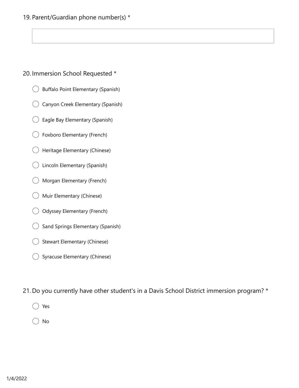#### 19. Parent/Guardian phone number(s) \*

#### 20. Immersion School Requested \*

- Buffalo Point Elementary (Spanish)
- Canyon Creek Elementary (Spanish)
- Eagle Bay Elementary (Spanish) (
- Foxboro Elementary (French)
- Heritage Elementary (Chinese)  $($ )
- Lincoln Elementary (Spanish)
- Morgan Elementary (French)
- Muir Elementary (Chinese)
- Odyssey Elementary (French)
- Sand Springs Elementary (Spanish)
- Stewart Elementary (Chinese)
- Syracuse Elementary (Chinese)  $\left($

21. Do you currently have other student's in a Davis School District immersion program? \*

Yes

No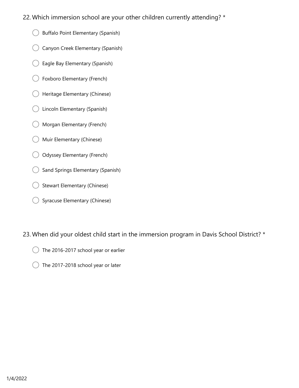- 22. Which immersion school are your other children currently attending? \*
	- Buffalo Point Elementary (Spanish)  $($ )
	- Canyon Creek Elementary (Spanish)
	- Eagle Bay Elementary (Spanish)
	- Foxboro Elementary (French)
	- Heritage Elementary (Chinese)
	- Lincoln Elementary (Spanish)  $($ )
	- Morgan Elementary (French)  $($ )
	- Muir Elementary (Chinese)
	- Odyssey Elementary (French)
	- Sand Springs Elementary (Spanish)
	- Stewart Elementary (Chinese)
	- Syracuse Elementary (Chinese)

23. When did your oldest child start in the immersion program in Davis School District? \*

- The 2016-2017 school year or earlier
- The 2017-2018 school year or later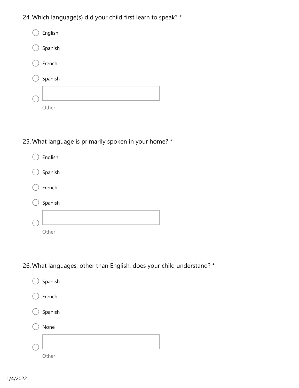24. Which language(s) did your child first learn to speak? \*



#### 25. What language is primarily spoken in your home? \*



26. What languages, other than English, does your child understand? \*

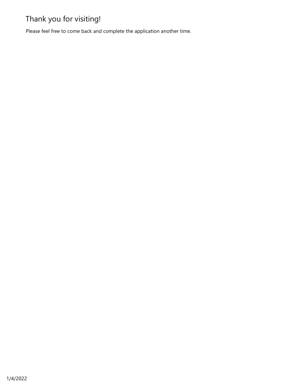## Thank you for visiting!

Please feel free to come back and complete the application another time.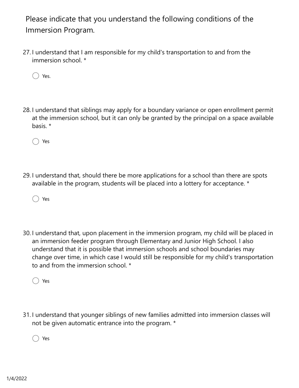Please indicate that you understand the following conditions of the Immersion Program.

27. I understand that I am responsible for my child's transportation to and from the immersion school. \*

Yes.

28. I understand that siblings may apply for a boundary variance or open enrollment permit at the immersion school, but it can only be granted by the principal on a space available basis. \*

◯ Yes

29. I understand that, should there be more applications for a school than there are spots available in the program, students will be placed into a lottery for acceptance. \*

Yes

30. I understand that, upon placement in the immersion program, my child will be placed in an immersion feeder program through Elementary and Junior High School. I also understand that it is possible that immersion schools and school boundaries may change over time, in which case I would still be responsible for my child's transportation to and from the immersion school. \*

Yes

31. I understand that younger siblings of new families admitted into immersion classes will not be given automatic entrance into the program. \*

Yes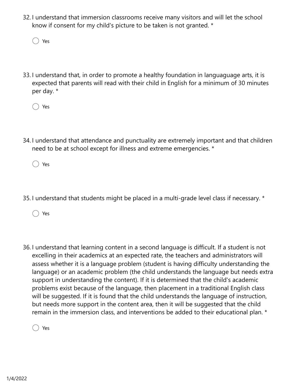32. I understand that immersion classrooms receive many visitors and will let the school know if consent for my child's picture to be taken is not granted. \*

Yes

33. I understand that, in order to promote a healthy foundation in languaguage arts, it is expected that parents will read with their child in English for a minimum of 30 minutes per day. \*

Yes

34. I understand that attendance and punctuality are extremely important and that children need to be at school except for illness and extreme emergencies. \*

Yes

35. I understand that students might be placed in a multi-grade level class if necessary. \*

Yes

36. I understand that learning content in a second language is difficult. If a student is not excelling in their academics at an expected rate, the teachers and administrators will assess whether it is a language problem (student is having difficulty understanding the language) or an academic problem (the child understands the language but needs extra support in understanding the content). If it is determined that the child's academic problems exist because of the language, then placement in a traditional English class will be suggested. If it is found that the child understands the language of instruction, but needs more support in the content area, then it will be suggested that the child remain in the immersion class, and interventions be added to their educational plan. \*

Yes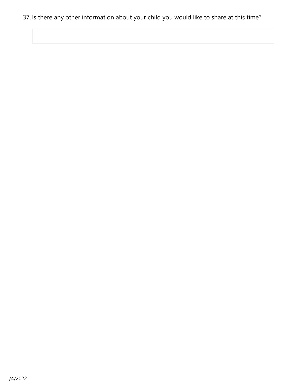#### 37. Is there any other information about your child you would like to share at this time?